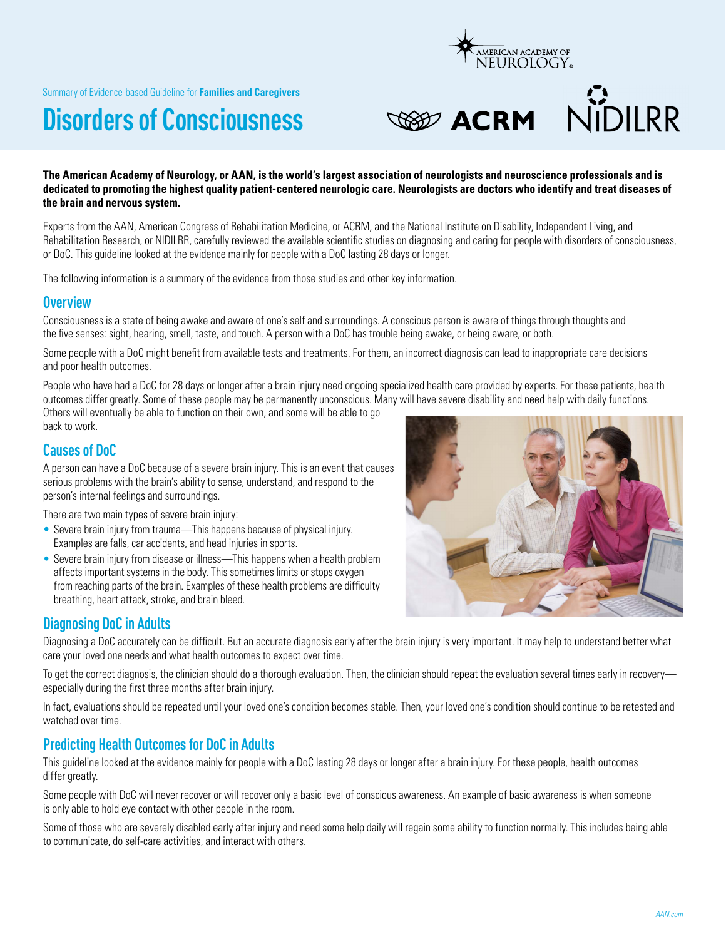Summary of Evidence-based Guideline for **Families and Caregivers**

# **Disorders of Consciousness**





#### **The American Academy of Neurology, or AAN, is the world's largest association of neurologists and neuroscience professionals and is dedicated to promoting the highest quality patient-centered neurologic care. Neurologists are doctors who identify and treat diseases of the brain and nervous system.**

Experts from the AAN, American Congress of Rehabilitation Medicine, or ACRM, and the National Institute on Disability, Independent Living, and Rehabilitation Research, or NIDILRR, carefully reviewed the available scientific studies on diagnosing and caring for people with disorders of consciousness, or DoC. This guideline looked at the evidence mainly for people with a DoC lasting 28 days or longer.

The following information is a summary of the evidence from those studies and other key information.

### **Overview**

Consciousness is a state of being awake and aware of one's self and surroundings. A conscious person is aware of things through thoughts and the five senses: sight, hearing, smell, taste, and touch. A person with a DoC has trouble being awake, or being aware, or both.

Some people with a DoC might benefit from available tests and treatments. For them, an incorrect diagnosis can lead to inappropriate care decisions and poor health outcomes.

People who have had a DoC for 28 days or longer after a brain injury need ongoing specialized health care provided by experts. For these patients, health outcomes differ greatly. Some of these people may be permanently unconscious. Many will have severe disability and need help with daily functions.

Others will eventually be able to function on their own, and some will be able to go back to work.

## **Causes of DoC**

A person can have a DoC because of a severe brain injury. This is an event that causes serious problems with the brain's ability to sense, understand, and respond to the person's internal feelings and surroundings.

There are two main types of severe brain injury:

- Severe brain injury from trauma—This happens because of physical injury. Examples are falls, car accidents, and head injuries in sports.
- Severe brain injury from disease or illness—This happens when a health problem affects important systems in the body. This sometimes limits or stops oxygen from reaching parts of the brain. Examples of these health problems are difficulty breathing, heart attack, stroke, and brain bleed.



### **Diagnosing DoC in Adults**

Diagnosing a DoC accurately can be difficult. But an accurate diagnosis early after the brain injury is very important. It may help to understand better what care your loved one needs and what health outcomes to expect over time.

To get the correct diagnosis, the clinician should do a thorough evaluation. Then, the clinician should repeat the evaluation several times early in recovery especially during the first three months after brain injury.

In fact, evaluations should be repeated until your loved one's condition becomes stable. Then, your loved one's condition should continue to be retested and watched over time.

# **Predicting Health Outcomes for DoC in Adults**

This guideline looked at the evidence mainly for people with a DoC lasting 28 days or longer after a brain injury. For these people, health outcomes differ greatly.

Some people with DoC will never recover or will recover only a basic level of conscious awareness. An example of basic awareness is when someone is only able to hold eye contact with other people in the room.

Some of those who are severely disabled early after injury and need some help daily will regain some ability to function normally. This includes being able to communicate, do self-care activities, and interact with others.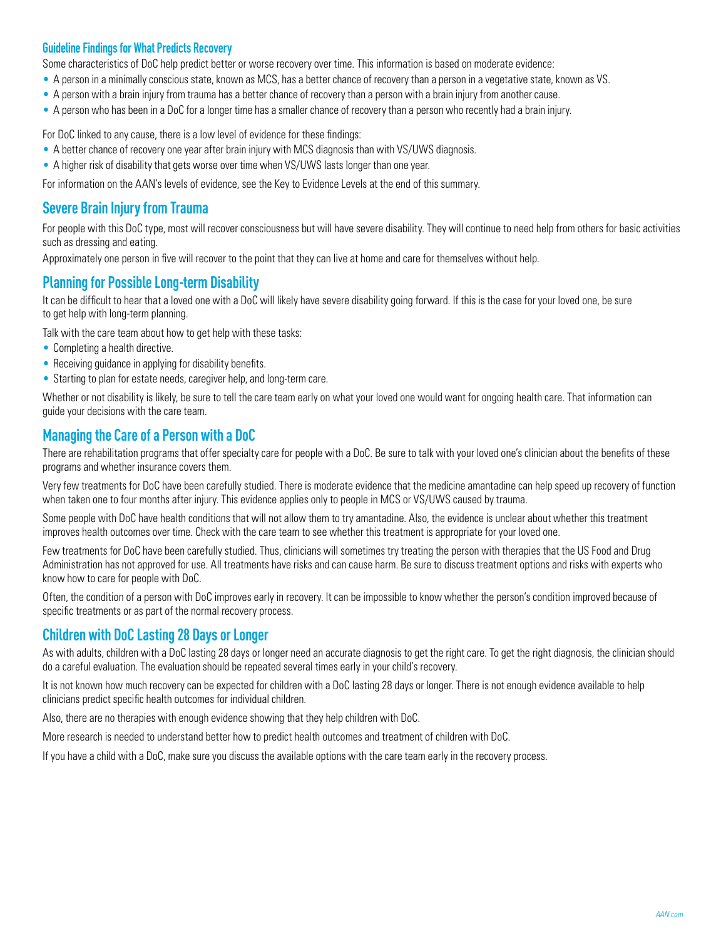#### **Guideline Findings for What Predicts Recovery**

Some characteristics of DoC help predict better or worse recovery over time. This information is based on moderate evidence:

- A person in a minimally conscious state, known as MCS, has a better chance of recovery than a person in a vegetative state, known as VS.
- A person with a brain injury from trauma has a better chance of recovery than a person with a brain injury from another cause.
- A person who has been in a DoC for a longer time has a smaller chance of recovery than a person who recently had a brain injury.

For DoC linked to any cause, there is a low level of evidence for these findings:

- A better chance of recovery one year after brain injury with MCS diagnosis than with VS/UWS diagnosis.
- A higher risk of disability that gets worse over time when VS/UWS lasts longer than one year.

For information on the AAN's levels of evidence, see the Key to Evidence Levels at the end of this summary.

# **Severe Brain Injury from Trauma**

For people with this DoC type, most will recover consciousness but will have severe disability. They will continue to need help from others for basic activities such as dressing and eating.

Approximately one person in five will recover to the point that they can live at home and care for themselves without help.

# **Planning for Possible Long-term Disability**

It can be difficult to hear that a loved one with a DoC will likely have severe disability going forward. If this is the case for your loved one, be sure to get help with long-term planning.

Talk with the care team about how to get help with these tasks:

- Completing a health directive.
- Receiving quidance in applying for disability benefits.
- Starting to plan for estate needs, caregiver help, and long-term care.

Whether or not disability is likely, be sure to tell the care team early on what your loved one would want for ongoing health care. That information can guide your decisions with the care team.

## **Managing the Care of a Person with a DoC**

There are rehabilitation programs that offer specialty care for people with a DoC. Be sure to talk with your loved one's clinician about the benefits of these programs and whether insurance covers them.

Very few treatments for DoC have been carefully studied. There is moderate evidence that the medicine amantadine can help speed up recovery of function when taken one to four months after injury. This evidence applies only to people in MCS or VS/UWS caused by trauma.

Some people with DoC have health conditions that will not allow them to try amantadine. Also, the evidence is unclear about whether this treatment improves health outcomes over time. Check with the care team to see whether this treatment is appropriate for your loved one.

Few treatments for DoC have been carefully studied. Thus, clinicians will sometimes try treating the person with therapies that the US Food and Drug Administration has not approved for use. All treatments have risks and can cause harm. Be sure to discuss treatment options and risks with experts who know how to care for people with DoC.

Often, the condition of a person with DoC improves early in recovery. It can be impossible to know whether the person's condition improved because of specific treatments or as part of the normal recovery process.

### **Children with DoC Lasting 28 Days or Longer**

As with adults, children with a DoC lasting 28 days or longer need an accurate diagnosis to get the right care. To get the right diagnosis, the clinician should do a careful evaluation. The evaluation should be repeated several times early in your child's recovery.

It is not known how much recovery can be expected for children with a DoC lasting 28 days or longer. There is not enough evidence available to help clinicians predict specific health outcomes for individual children.

Also, there are no therapies with enough evidence showing that they help children with DoC.

More research is needed to understand better how to predict health outcomes and treatment of children with DoC.

If you have a child with a DoC, make sure you discuss the available options with the care team early in the recovery process.